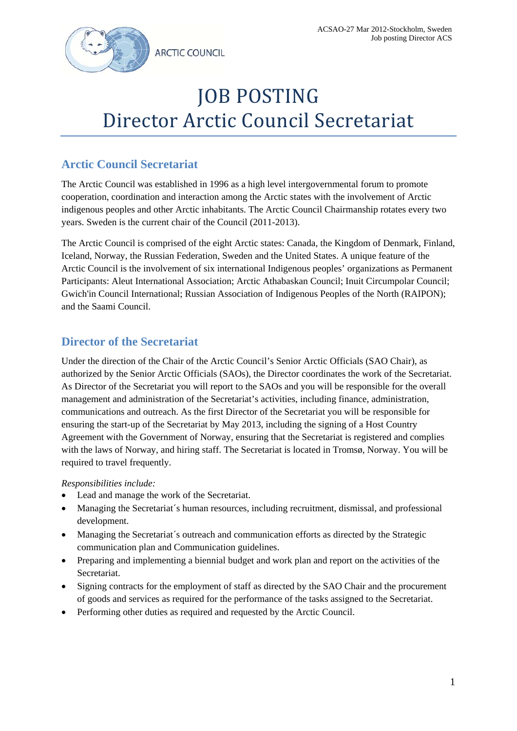

# **JOB POSTING** Director Arctic Council Secretariat

# **Arctic Council Secretariat**

The Arctic Council was established in 1996 as a high level intergovernmental forum to promote cooperation, coordination and interaction among the Arctic states with the involvement of Arctic indigenous peoples and other Arctic inhabitants. The Arctic Council Chairmanship rotates every two years. Sweden is the current chair of the Council (2011-2013).

The Arctic Council is comprised of the eight Arctic states: Canada, the Kingdom of Denmark, Finland, Iceland, Norway, the Russian Federation, Sweden and the United States. A unique feature of the Arctic Council is the involvement of six international Indigenous peoples' organizations as Permanent Participants: Aleut International Association; Arctic Athabaskan Council; Inuit Circumpolar Council; Gwich'in Council International; Russian Association of Indigenous Peoples of the North (RAIPON); and the Saami Council.

# **Director of the Secretariat**

Under the direction of the Chair of the Arctic Council's Senior Arctic Officials (SAO Chair), as authorized by the Senior Arctic Officials (SAOs), the Director coordinates the work of the Secretariat. As Director of the Secretariat you will report to the SAOs and you will be responsible for the overall management and administration of the Secretariat's activities, including finance, administration, communications and outreach. As the first Director of the Secretariat you will be responsible for ensuring the start-up of the Secretariat by May 2013, including the signing of a Host Country Agreement with the Government of Norway, ensuring that the Secretariat is registered and complies with the laws of Norway, and hiring staff. The Secretariat is located in Tromsø, Norway. You will be required to travel frequently.

# *Responsibilities include:*

- Lead and manage the work of the Secretariat.
- Managing the Secretariat´s human resources, including recruitment, dismissal, and professional development.
- Managing the Secretariat´s outreach and communication efforts as directed by the Strategic communication plan and Communication guidelines.
- Preparing and implementing a biennial budget and work plan and report on the activities of the Secretariat.
- Signing contracts for the employment of staff as directed by the SAO Chair and the procurement of goods and services as required for the performance of the tasks assigned to the Secretariat.
- Performing other duties as required and requested by the Arctic Council.